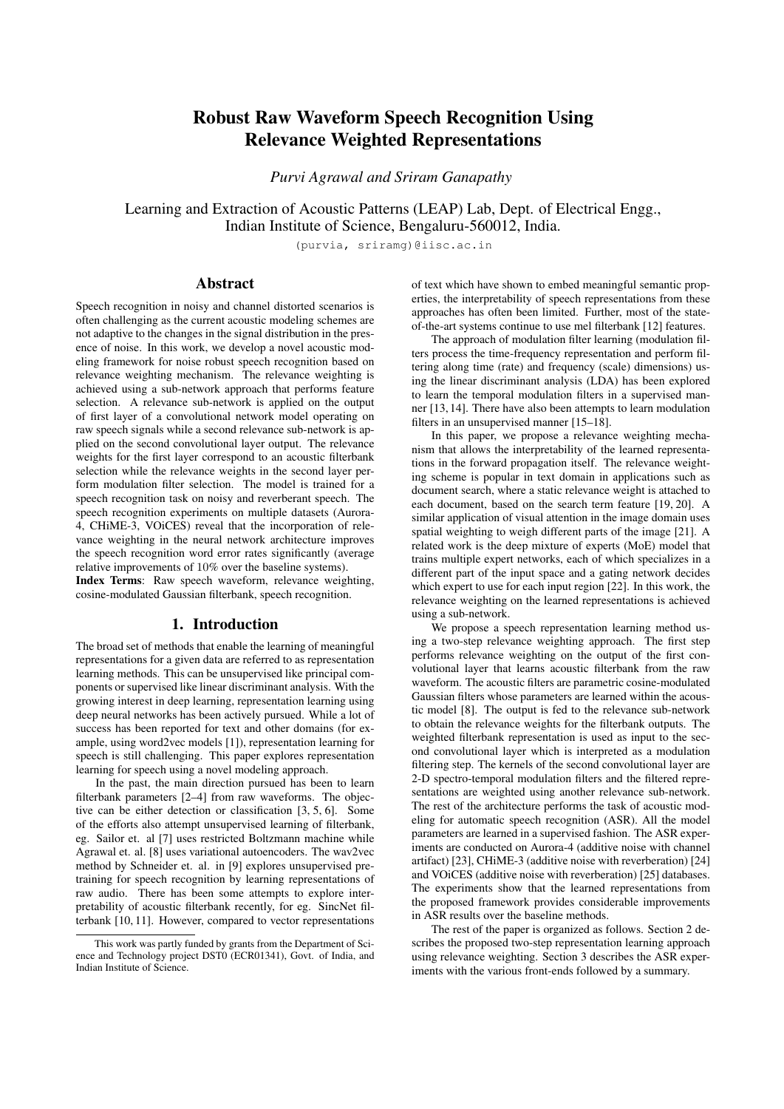# Robust Raw Waveform Speech Recognition Using Relevance Weighted Representations

*Purvi Agrawal and Sriram Ganapathy*

Learning and Extraction of Acoustic Patterns (LEAP) Lab, Dept. of Electrical Engg., Indian Institute of Science, Bengaluru-560012, India.

(purvia, sriramg)@iisc.ac.in

## Abstract

Speech recognition in noisy and channel distorted scenarios is often challenging as the current acoustic modeling schemes are not adaptive to the changes in the signal distribution in the presence of noise. In this work, we develop a novel acoustic modeling framework for noise robust speech recognition based on relevance weighting mechanism. The relevance weighting is achieved using a sub-network approach that performs feature selection. A relevance sub-network is applied on the output of first layer of a convolutional network model operating on raw speech signals while a second relevance sub-network is applied on the second convolutional layer output. The relevance weights for the first layer correspond to an acoustic filterbank selection while the relevance weights in the second layer perform modulation filter selection. The model is trained for a speech recognition task on noisy and reverberant speech. The speech recognition experiments on multiple datasets (Aurora-4, CHiME-3, VOiCES) reveal that the incorporation of relevance weighting in the neural network architecture improves the speech recognition word error rates significantly (average relative improvements of 10% over the baseline systems). Index Terms: Raw speech waveform, relevance weighting, cosine-modulated Gaussian filterbank, speech recognition.

## 1. Introduction

The broad set of methods that enable the learning of meaningful representations for a given data are referred to as representation learning methods. This can be unsupervised like principal components or supervised like linear discriminant analysis. With the growing interest in deep learning, representation learning using deep neural networks has been actively pursued. While a lot of success has been reported for text and other domains (for example, using word2vec models [1]), representation learning for speech is still challenging. This paper explores representation learning for speech using a novel modeling approach.

In the past, the main direction pursued has been to learn filterbank parameters [2–4] from raw waveforms. The objective can be either detection or classification [3, 5, 6]. Some of the efforts also attempt unsupervised learning of filterbank, eg. Sailor et. al [7] uses restricted Boltzmann machine while Agrawal et. al. [8] uses variational autoencoders. The wav2vec method by Schneider et. al. in [9] explores unsupervised pretraining for speech recognition by learning representations of raw audio. There has been some attempts to explore interpretability of acoustic filterbank recently, for eg. SincNet filterbank [10, 11]. However, compared to vector representations of text which have shown to embed meaningful semantic properties, the interpretability of speech representations from these approaches has often been limited. Further, most of the stateof-the-art systems continue to use mel filterbank [12] features.

The approach of modulation filter learning (modulation filters process the time-frequency representation and perform filtering along time (rate) and frequency (scale) dimensions) using the linear discriminant analysis (LDA) has been explored to learn the temporal modulation filters in a supervised manner [13, 14]. There have also been attempts to learn modulation filters in an unsupervised manner [15–18].

In this paper, we propose a relevance weighting mechanism that allows the interpretability of the learned representations in the forward propagation itself. The relevance weighting scheme is popular in text domain in applications such as document search, where a static relevance weight is attached to each document, based on the search term feature [19, 20]. A similar application of visual attention in the image domain uses spatial weighting to weigh different parts of the image [21]. A related work is the deep mixture of experts (MoE) model that trains multiple expert networks, each of which specializes in a different part of the input space and a gating network decides which expert to use for each input region [22]. In this work, the relevance weighting on the learned representations is achieved using a sub-network.

We propose a speech representation learning method using a two-step relevance weighting approach. The first step performs relevance weighting on the output of the first convolutional layer that learns acoustic filterbank from the raw waveform. The acoustic filters are parametric cosine-modulated Gaussian filters whose parameters are learned within the acoustic model [8]. The output is fed to the relevance sub-network to obtain the relevance weights for the filterbank outputs. The weighted filterbank representation is used as input to the second convolutional layer which is interpreted as a modulation filtering step. The kernels of the second convolutional layer are 2-D spectro-temporal modulation filters and the filtered representations are weighted using another relevance sub-network. The rest of the architecture performs the task of acoustic modeling for automatic speech recognition (ASR). All the model parameters are learned in a supervised fashion. The ASR experiments are conducted on Aurora-4 (additive noise with channel artifact) [23], CHiME-3 (additive noise with reverberation) [24] and VOiCES (additive noise with reverberation) [25] databases. The experiments show that the learned representations from the proposed framework provides considerable improvements in ASR results over the baseline methods.

The rest of the paper is organized as follows. Section 2 describes the proposed two-step representation learning approach using relevance weighting. Section 3 describes the ASR experiments with the various front-ends followed by a summary.

This work was partly funded by grants from the Department of Science and Technology project DST0 (ECR01341), Govt. of India, and Indian Institute of Science.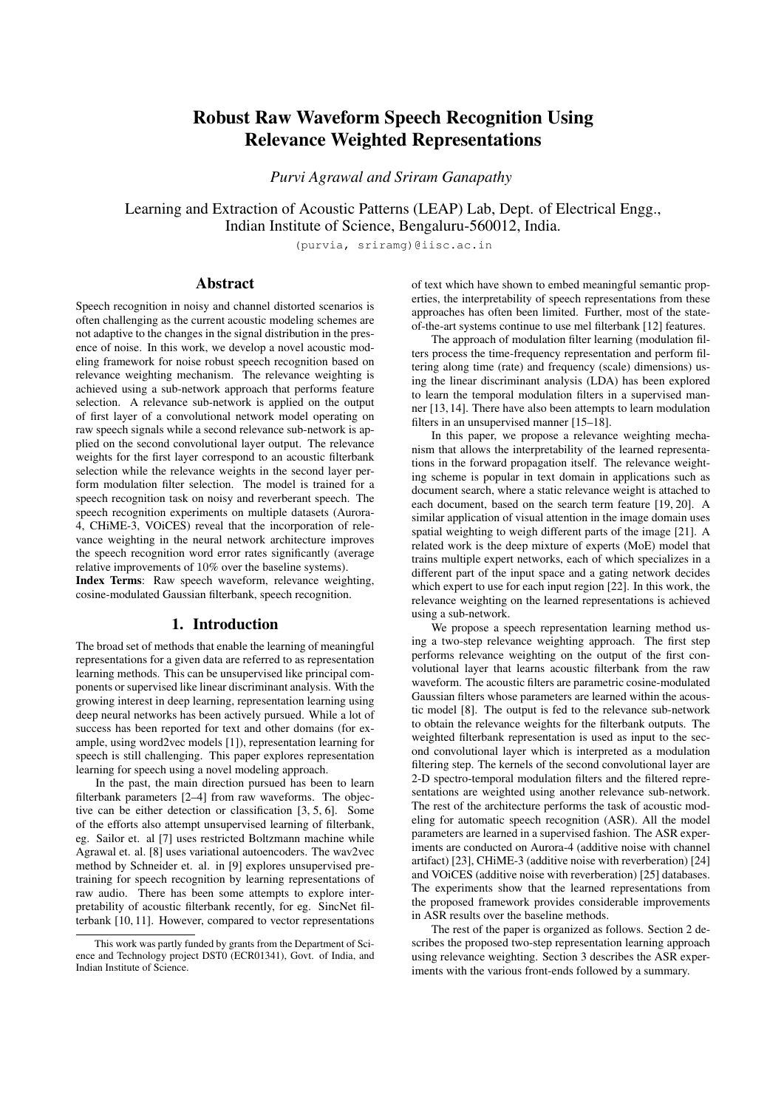

Figure 1: *Block diagram of the proposed representation learning from raw waveform using relevance weighting approach. Here, FC represents fully connected layer.*

# 2. Relevance Based Representation Learning

The block schematic of the proposed relevance weighting based two-step representation learning model is shown in Figure 1.

## 2.1. Step-1: Acoustic Filterbank representation

The input to the neural network are raw samples windowed into s samples per frame with a contextual window of  $t$  frames. Each block of s samples is referred to as a frame. This matrix of size  $s \quad 1$  raw audio samples are processed with a 1-D convolution using  $f$  kernels ( $f$  denotes the number of sub-bands in filterbank decomposition) each of size  $k$ . The kernels are modeled as cosine-modulated Gaussian function [8],

$$
g_i(n) = \cos 2\pi \mu_i n \quad \exp\left(-n^2 \mu_i^2/2\right) \tag{1}
$$

where  $g_i(n)$  is the *i*-th kernel  $(i = 1, ..., f)$  at time *n*,  $\mu_i$  is the center frequency of the ith filter (in frequency domain). The parametric approach to filterbank (FB) learning generates filters with a smooth frequency response. The mean parameters are updated in a supervised manner for each dataset. The convolution with the cosine-modulated Gaussian filters generates f feature maps. These outputs are squared, average pooled within each frame and log transformed. This generates  $x$  as  $f$  dimensional features for each of the  $t$  contextual frames, as shown in Figure 1. The  $x$  can be interpreted as the "learned" timefrequency representation (spectrogram). We refer to the first layer as the acoustic filterbank (FB) layer.

## 2.2. Acoustic FB relevance weighting

The relevance weighting paradigm for acoustic FB layer is implemented using a relevance sub-network fed with the  $f$  t time-frequency representation  $x$ . A two layer deep neural network (DNN) with a softmax output generates acoustic FB relevance weights  $w_a$  as f dimensional vector with weights corresponding to each sub-band filter. Let the output from the relevance sub-network be denoted as  $x_a$ , then the relevance weights  $w_a$  are generated using the softmax function as,

$$
w_a^i = \frac{e^{x_a^i}}{\sum_j e^{x_a^j}}; \text{ where } i = 1, 2, ..., f. \tag{2}
$$

These weights  $w_a$  are multiplied element-wise with each frame of  $x$  to obtain weighted filterbank representation  $y$ . The relevance weights in the proposed framework are different from typical relevance weights used in text search problem [20] as well as the attention mechanism [26]. In proposed framework, relevance weighting is applied on the representation as soft feature selection weights without performing a linear combination. We also smooth the first layer outputs  $(y)$  using instance norm [27, 28]. Let  $y_{j,i}$  denote the relevance weighted filterbank output for frame  $j$   $(j = 1, ..., t)$  of sub-band  $i$   $(i = 1, ..., f)$ . The soft weighted output  $z_{i,i}$  is given as,

$$
z_{j,i} = \frac{y_{j,i} - m_i}{\sqrt{\sigma_i^2 + c}} \tag{3}
$$

where  $m_i$  is the sample mean of  $y_{j,i}$  computed over j and  $\sigma_i$  is the sample std. dev. of  $y_{j,i}$  computed over j. The constant c is 1e 4. The output of relevance weighting  $(z)$  is propagated to the subsequent layers for the acoustic modeling.

In our experiments, we use  $t = 101$  whose center frame is the senone target for the acoustic model. We also use  $f = 80$ sub-bands and acoustic filter length  $k = 129$ . This value of  $k$ corresponds to 8 ms in time for a 16 kHz sampled signal which has been found to be sufficient to capture temporal variations of speech signal [29]. The value of s is 400 corresponding to 25 ms window length and the frames are shifted every 10ms. Thus, the input to the acoustic filter bank layer with  $t = 101$  contains about 1 sec. of audio segment. In our experiments, we also find that after the normalization layer, the number of frames  $t$  can be pruned to the center 21 frames for the acoustic model training without loss in performance. This has significant computational benefits and the pruning is performed to keep only the 21 frames around the center frame (200 ms of context).

The soft relevance weighted time-frequency representation  $z$  obtained from the proposed approach is shown in Figure 2(c) for an utterance with airport noise from Aurora-4 dataset (the waveform is plotted in Figure 2(a)). The corresponding mel spectrogram (without relevance weighting) is plotted in Figure 2(b). It can be observed that, in the learned filterbank representation (Figure  $2(c)$ ), the formant frequencies appear to be shifted upwards because of the increased number of filters in the lower frequency region. Also, the relevance weighting modifies the representations propagated to the higher layers.

#### 2.3. Step-2: Relevance Weighting of Modulation Filtered Representation

The representation  $z$  from acoustic filterbank layer is fed to the second convolutional layer which is interpreted as modulation filtering layer (shown in Figure 1). The kernels of this convolutional layer are interpreted as 2-D spectro-temporal modulation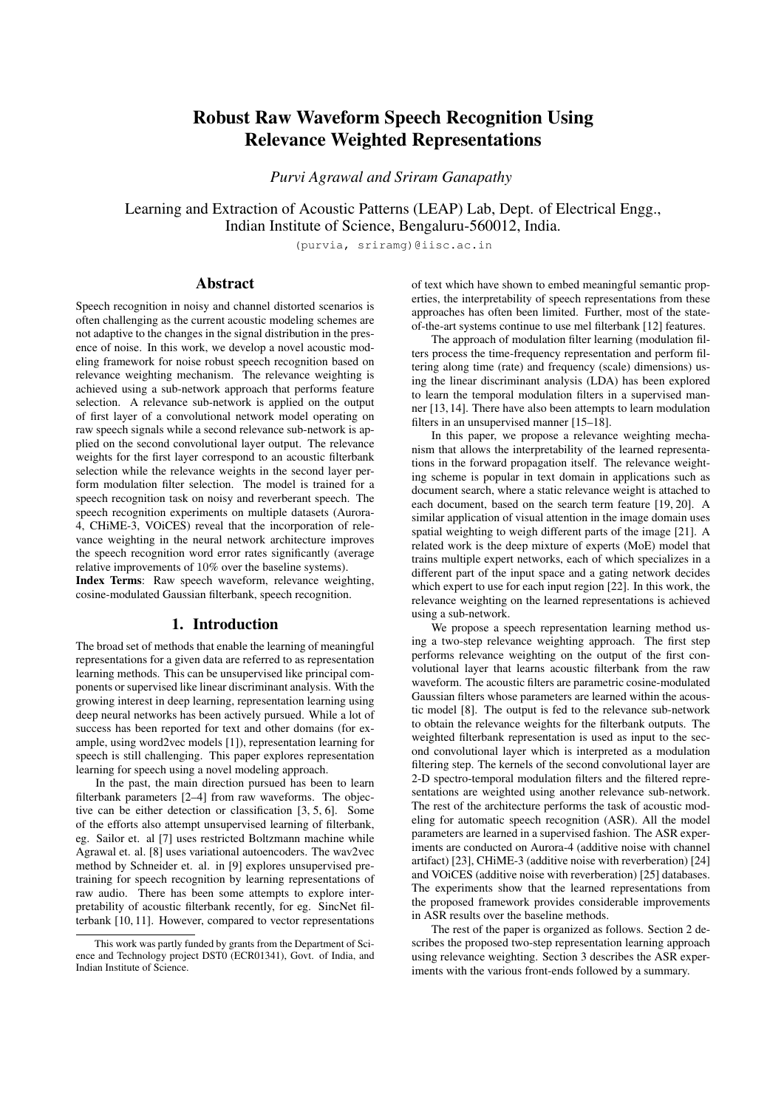

Figure 2: *(a) Speech signal from Aurora-4 dataset with airport noise, (b) mel spectrogram representation (c) acoustic FB representation with soft relevance weighting (*z *in Figure 1).*

filters, learning the rate-scale characteristics from the data. This step is partly inspired by the neuro-physiological evidences of multi-stream feature framework for ASR [30, 31]. The modulation filtering layer generates  $K$  parallel streams, corresponding to  $K$  modulation filters  $w_K$ . The modulation filtered representations  $p$  are max-pooled with window of  $3 \quad 1$ , leading to feature maps of size  $f'$   $t'$ . These are weighted using a second relevance weighting sub-network (referred to as the modulation filter relevance sub-network in Figure 1). Let  $p_m$  denote the Kdimensional output of modulation filter relevance sub-network. The softmax function is applied on the output to generate modulation relevance weights  $w_m$  over K modulation filters,

$$
w_m^i = \frac{e^{p_m^i}}{\sum_j e^{p_m^j}}; \text{ where } i = 1, 2, ..., K. \tag{4}
$$

The weights are multiplied with the representation  $p$  to obtain weighted representation  $q$ . This weighting is interpreted as the selection of different modulation filtered representations (with different rate-scale characteristics). The resultant weighted representation  $q$  is fed to the batch normalization layer [32]. The training data statistics of batch norm, including affine parameters, are used in the test phase. The value of the normalization factor c in denominator for batch norm is chosen to be  $10^{-4}$ empirically. We use the value of  $K = 40$  in the work. Following the acoustic filterbank layer and the modulation filtering layer (including the relevance sub-networks), the acoustic model consists of series of CNN and DNN layers. The configuration details are given in Figure 1.

The proposed two stage processing is loosely modeled based on our understanding of the human auditory system, where the cochlea performs acoustic frequency analysis while early cortical processing performs modulation filtering [30]. The relevance weighting mechanism attempts to model the feature selection/weighting inherently present in the auditory system (based on the relative importance of the representation for the downstream task).

## 3. Experiments and Results

The speech recognition system is trained using PyTorch [33] while the Kaldi toolkit [34] is used for decoding and language modeling. The ASR is built on three datasets, Aurora-4, CHiME-3 and VOiCES respectively. The models are discriminatively trained using the training data with cross entropy loss and Adam optimizer [35]. A hidden Markov model - Gaussian mixture model (HMM-GMM) system is used to generate the senone alignments for training the CNN-DNN based model. The ASR results are reported with a tri-gram language model

Table 1: *Word error rate (%) in Aurora-4 database for multicondition training with various feature extraction schemes.*

| Cond                    | <b>MFB</b> | <b>PFB</b> | Sinc | A    | $MFB-R$ | $A-R$ | $S-R.M-R$ | $A-R,M-R$ |
|-------------------------|------------|------------|------|------|---------|-------|-----------|-----------|
| A. Clean with same Mic  |            |            |      |      |         |       |           |           |
| Clean                   | 4.2        | 4.0        | 4.0  | 4.1  | 4.0     | 3.6   | 3.8       | 3.6       |
| B: Noisy with same Mic  |            |            |      |      |         |       |           |           |
| Airport                 | 6.8        | 7.1        | 6.9  | 6.4  | 7.0     | 6.0   | 6.3       | 5.9       |
| Babble                  | 6.6        | 7.4        | 6.7  | 6.3  | 6.8     | 6.1   | 6.2       | 6.1       |
| Car                     | 4.0        | 4.5        | 4.0  | 4.0  | 4.2     | 4.0   | 3.9       | 3.9       |
| Rest.                   | 9.4        | 9.6        | 9.4  | 8.5  | 9.4     | 7.7   | 8.4       | 6.8       |
| Street                  | 8.1        | 8.1        | 8.4  | 7.8  | 8.0     | 7.1   | 7.5       | 6.9       |
| Train                   | 8.4        | 8.6        | 8.3  | 7.9  | 8.6     | 7.3   | 7.4       | 7.2       |
| Avg.                    | 7.2        | 7.5        | 7.3  | 6.8  | 7.3     | 6.4   | 6.6       | 6.1       |
| C: Clean with diff. Mic |            |            |      |      |         |       |           |           |
| Clean                   | 7.2        | 7.3        | 7.3  | 7.3  | 7.1     | 8.1   | 6.8       | 6.0       |
| D: Noisy with diff. Mic |            |            |      |      |         |       |           |           |
| Airport                 | 16.3       | 18.0       | 16.2 | 17.3 | 16.6    | 15.4  | 13.9      | 14.1      |
| Babble                  | 16.7       | 18.9       | 17.6 | 17.4 | 16.7    | 16.0  | 16.0      | 15.4      |
| Car                     | 8.6        | 11.2       | 9.0  | 9.0  | 9.0     | 9.4   | 7.9       | 7.7       |
| Rest.                   | 18.8       | 21.0       | 19.0 | 18.2 | 18.5    | 16.9  | 19.2      | 18.6      |
| Street                  | 17.3       | 19.5       | 17.3 | 17.8 | 17.5    | 16.9  | 16.6      | 16.8      |
| Train                   | 17.6       | 18.8       | 18.1 | 17.8 | 18.1    | 16.2  | 16.6      | 16.2      |
| Avg.                    | 15.9       | 17.9       | 16.2 | 16.2 | 16.1    | 15.1  | 15.0      | 14.8      |
| Avg. of all conditions  |            |            |      |      |         |       |           |           |
| Avg.                    | 10.7       | 11.7       | 10.8 | 10.7 | 10.8    | 10.0  | 10.0      | 9.6       |

and the best language model weight is obtained from the development set.

For each dataset, we compare the ASR performance of the proposed approach of learning acoustic representation from raw waveform with acoustic FB (A) with relevance weighting (A-R) and modulation FB (M) with relevance weighting (M-R) denoted as (A-R,M-R), with the model having only the acoustic FB relevance weighting (A-R), traditional mel filterbank energy (MFB) features, and power normalized filterbank energy (PFB) features [36]. For CHiME-3 dataset, we also compare with RASTA features that perform modulation filtering (RAS) [37], and mean Hilbert envelope (MHE) features [38]. All the baseline features are processed with cepstral mean and variance normalization (CMVN) on a 1 sec. running window. The neural network architecture shown in Figure 1 (except for the acoustic filterbank learning layer, the acoustic FB relevance sub-network and modulation filter relevance sub-network) is used for all the baseline features.

#### 3.1. Aurora-4 ASR

This database consists of continuous read speech recordings of 5000 words corpus, recorded under clean and noisy conditions (street, train, car, babble, restaurant, and airport) at 10 20 dB SNR. The training data has 7138 multi condition recordings (84 speakers) with total 15 hours of training data. The validation data has 1206 recordings for multi condition setup. The test data has 330 recordings (8 speakers) for each of the 14 clean and noise conditions. The test data are classified into group A clean data, B - noisy data, C - clean data with channel distortion, and D - noisy data with channel distortion.

The ASR performance on the Aurora-4 dataset is shown in Table 1 for each of the 14 test conditions. We also compare the ASR performance with the acoustic filterbank representation (A) without relevance weighting. In addition, we also experiment with the application of the relevance weighting over pre-trained mel filterbank features (MFB-R).

As seen in the results, most of the noise robust front-ends do not improve over the baseline mel filterbank (MFB) performance. The raw waveform acoustic FB performs similar to MFB baseline features on average while performing better than the baseline for Cond. A and B. The MFB-R features, which denote the application of the acoustic FB relevance weighting over mel filterbank features, also doesn't improve over base-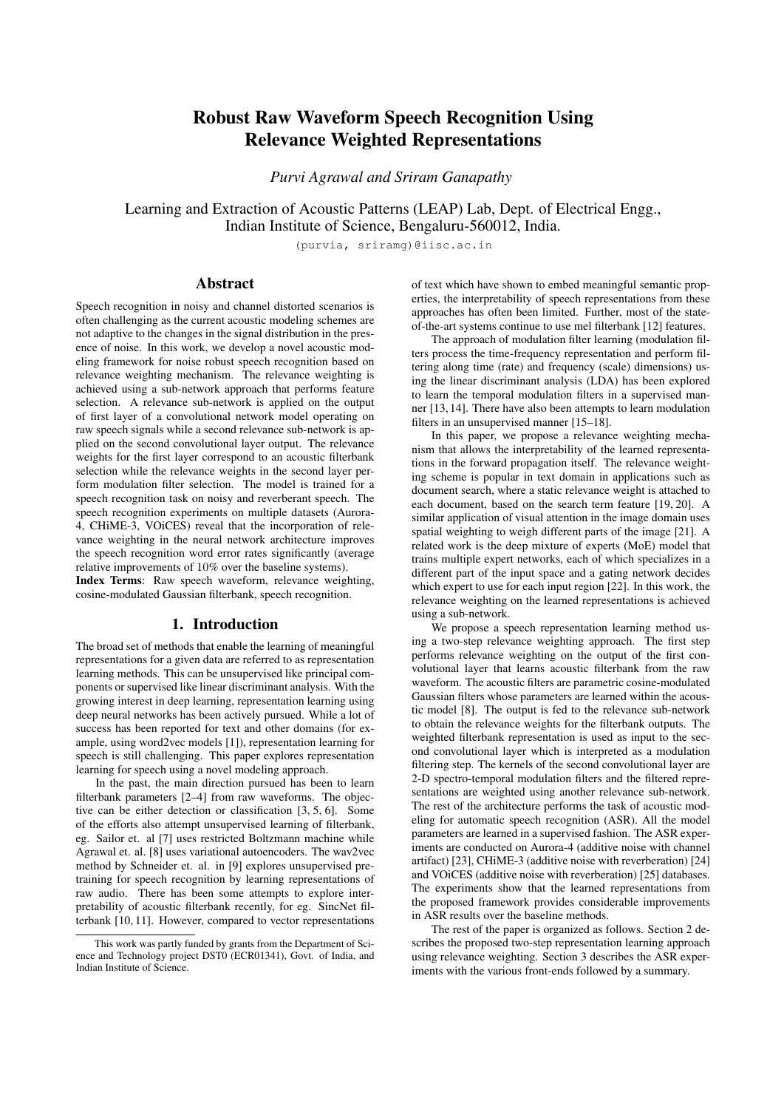| <b>Test Cond</b> | <b>MFB</b> | <b>PFB</b> | <b>RAS</b> | <b>MHE</b> | $A-R$ | $A-R.M-R$ |
|------------------|------------|------------|------------|------------|-------|-----------|
| Sim_dev          | 12.9       | 13.3       | 14.7       | 13.0       | 12.5  | 12.0      |
| Real dev         | 9.9        | 10.7       | 11.4       | 10.2       | 99    | 9.6       |
| Avg.             | 11.4       | 12.0       | 13.0       | 11.6       | 11.2  | 10.8      |
| Sim_eval         | 19.8       | 19.4       | 22.7       | 19.7       | 19.2  | 18.5      |
| Real_eval        | 18.3       | 19.2       | 20.5       | 18.5       | 17.3  | 16.6      |
| Avg.             | 19.1       | 19.3       | 21.6       | 19.1       | 18.2  | 17.5      |

Table 2: *Word error rate (%) in CHiME-3 Challenge database*

*for multi-condition training (real+simulated).*

Table 3: *WER (%) for cross-domain ASR experiments.*

| <b>Filters Learned on</b> | <b>ASR Trained and Tested on</b> |                      |  |  |
|---------------------------|----------------------------------|----------------------|--|--|
|                           | Aurora-4                         | CH <sub>i</sub> ME-3 |  |  |
| Aurora-4                  | 96                               | 14.3                 |  |  |
| CH <sub>i</sub> ME-3      | 97                               | 14.2                 |  |  |

line MFB features. The features with acoustic filterbank learning  $+$  relevance weighting  $(A-R)$  improves over the raw  $(A)$ features with average relative improvements of 6%. The proposed (A-R,M-R) representation learning (two-stage relevance weighting) provides considerable improvements in ASR performance over the baseline system with average relative improvements of 11% over the baseline MFB features. Furthermore, the improvements in ASR performance are consistently seen across all the noisy test conditions.

We also compare with the SincNet method [10] where our cosine modulated Gaussian filterbank is replaced with the sinc filterbank<sup>1</sup> as kernels in first convolutional layer (acoustic FB layer in Fig. 1). The ASR system with sinc FB (Sinc) is trained jointly without any relevance weighting, and with 2-stage relevance weighting (S-R,M-R) keeping rest of the architecture same as shown in Fig. 1. From results in Table 1, it can be observed that the parametric sinc FB (without weighting) performs similar to MFB and our acoustic FB features (A). The relevance weighting over sinc FB (S-R,M-R) improves over the baseline MFB with average relative improvements of 6%.

#### 3.2. CHiME-3 ASR

The CHiME-3 corpus for ASR contains multi-microphone tablet device recordings from everyday environments, released as a part of 3rd CHiME challenge [24]. Four varied environments are present - cafe (CAF), street junction (STR), public transport (BUS) and pedestrian area (PED). For each environment, two types of noisy speech data are present - real and simulated. The real data consists of 6-channel recordings of sentences from the WSJ0 corpus spoken in the environments listed above. The simulated data was constructed by artificially mixing clean utterances with environment noises. The training data has 1600 (real) noisy recordings and 7138 simulated noisy utterances, constituting a total of 18 hours of training data. We use the beamformed audio in our ASR training and testing. The development (dev) and evaluation (eval) data consists of 410 and 330 utterances respectively. For each set, the sentences are read by four different talkers in the four CHiME-3 environments. This results in  $1640 (410 \t 4)$  and  $1320 (330 \t 4)$ real development and evaluation utterances.

The results for the CHiME-3 dataset are reported in Table 2. The initial approach of raw waveform filter learning with acoustic FB relevance weighting improves over the baseline system as well as the other noise robust front-ends considered here. The proposed approach of 2-stage relevance weighting



Figure 3: *ASR performance in WER (%) for VOiCES database.*

over learned acoustic and modulation representations provides significant improvements over baseline features. On the average, the proposed approach provides relative improvements of 10% over MFB features in the eval set.

#### 3.3. Representation transfer across tasks

In a subsequent analysis, we perform a cross-domain ASR experiment, i.e., we use the acoustic filterbank learned from one of the datasets (either Aurora-4 or CHiME-3 challenge) to train/test ASR on the other dataset. The results of these crossdomain filter learning experiments are reported in Table 3. The rows in the table show the database used to learn the acoustic FB and the columns show the dataset used to train and test the ASR (all other layers in Figure 1 are learned in the ASR task). The performance reported in this table are the average WER on each of the datasets. The results shown in Table 3 illustrate that the filter learning process is relatively robust to the domain of the training data, suggesting that the proposed representation learning approach can be generalized for other "matched" tasks.

### 3.4. VOiCES ASR

The Voices Obscured in Complex Environmental Settings (VOiCES) corpus is a creative commons speech dataset being used as part of VOiCES Challenge [25]. The training data set of 80 hours has 22, 741 utterances sampled at 16kHz from 202 speakers, with each utterance having 12 15s segments of read speech. We performed a 1-fold reverberation and noise augmentation of the data using Kaldi [34]. The ASR development set consists of 20 hours of distant recordings from the 200 VOiCES dev speakers. It contains recordings from 6 microphones. The evaluation set consists of 20 hours of distant recordings from the 100 VOiCES eval speakers and contains recordings from 10 microphones. The ASR performance of VOiCES dataset with baseline MFB features and our proposed approach of 2-step relevance weighting is reported in Figure 3. These results suggest that proposed model is also scalable to relatively larger ASR tasks with large vocabulary where consistent improvements can be obtained with the proposed approach.

#### 4. Summary

The key contributions of the work are:

- Proposing a novel 2-stage relevance weighted representation learning neural architecture for speech modeling.
- The first stage weighs sub-bands of the learnt acoustic filterbank features from raw waveform; the second stage weighs the learnt modulation characteristics.
- The weighting mechanism allows the feature selection and interpretability of the learnt representations in forward propagation itself.
- Illustrating improved acoustic modeling using performance gains in word error rates for multiple ASR tasks.

<sup>1</sup>https://github.com/mravanelli/SincNet/